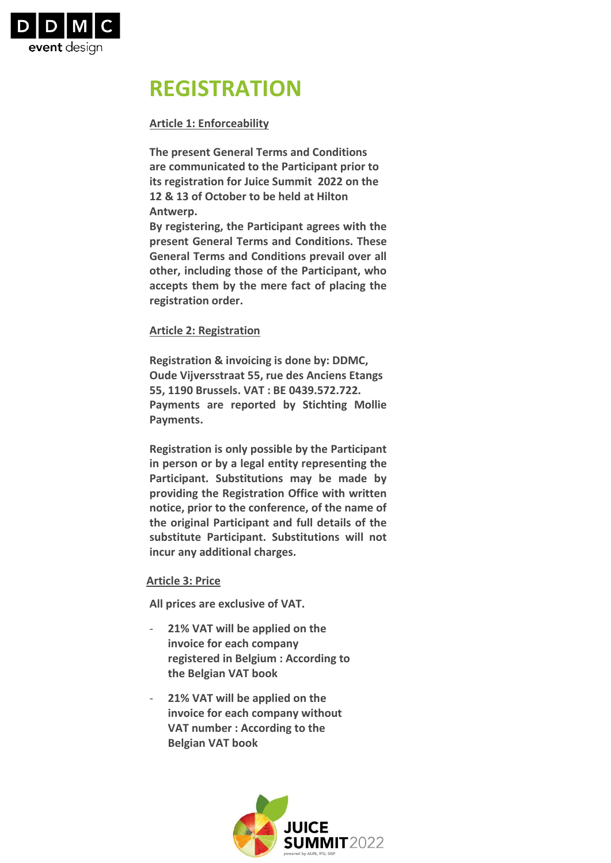

# **REGISTRATION**

## **Article 1: Enforceability**

**The present General Terms and Conditions are communicated to the Participant prior to its registration for Juice Summit 2022 on the 12 & 13 of October to be held at Hilton Antwerp.** 

**By registering, the Participant agrees with the present General Terms and Conditions. These General Terms and Conditions prevail over all other, including those of the Participant, who accepts them by the mere fact of placing the registration order.**

## **Article 2: Registration**

**Registration & invoicing is done by: DDMC, Oude Vijversstraat 55, rue des Anciens Etangs 55, 1190 Brussels. VAT : BE 0439.572.722. Payments are reported by Stichting Mollie Payments.**

**Registration is only possible by the Participant in person or by a legal entity representing the Participant. Substitutions may be made by providing the Registration Office with written notice, prior to the conference, of the name of the original Participant and full details of the substitute Participant. Substitutions will not incur any additional charges.**

### **Article 3: Price**

**All prices are exclusive of VAT.**

- **21% VAT will be applied on the invoice for each company registered in Belgium : According to the Belgian VAT book**
- **21% VAT will be applied on the invoice for each company without VAT number : According to the Belgian VAT book**

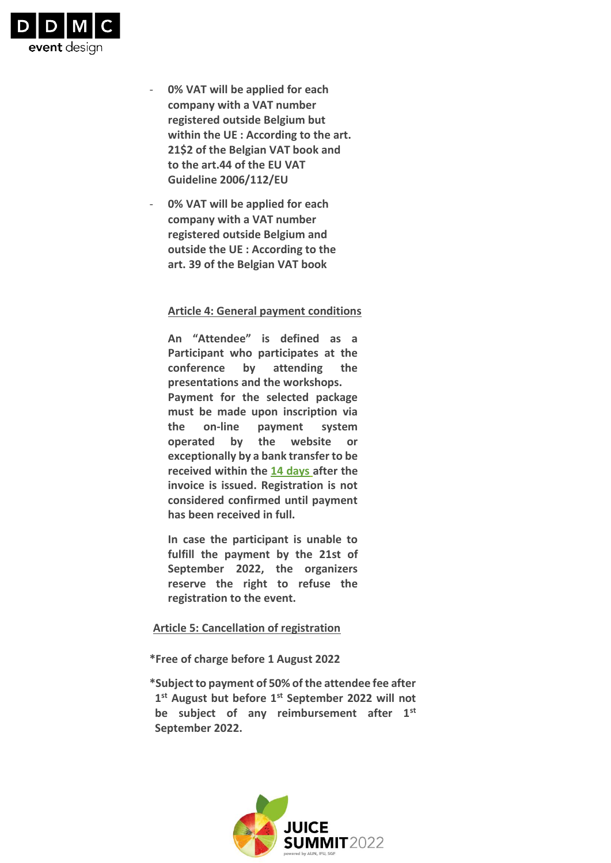

- **0% VAT will be applied for each company with a VAT number registered outside Belgium but within the UE : According to the art. 21\$2 of the Belgian VAT book and to the art.44 of the EU VAT Guideline 2006/112/EU**
- **0% VAT will be applied for each company with a VAT number registered outside Belgium and outside the UE : According to the art. 39 of the Belgian VAT book**

#### **Article 4: General payment conditions**

**An "Attendee" is defined as a Participant who participates at the conference by attending the presentations and the workshops. Payment for the selected package must be made upon inscription via the on‐line payment system operated by the website or exceptionally by a bank transfer to be received within the 14 days after the invoice is issued. Registration is not considered confirmed until payment has been received in full.**

**In case the participant is unable to fulfill the payment by the 21st of September 2022, the organizers reserve the right to refuse the registration to the event.**

#### **Article 5: Cancellation of registration**

**\*Free of charge before 1 August 2022**

**\*Subject to payment of 50% of the attendee fee after 1 st August but before 1st September 2022 will not be subject of any reimbursement after 1st September 2022.**

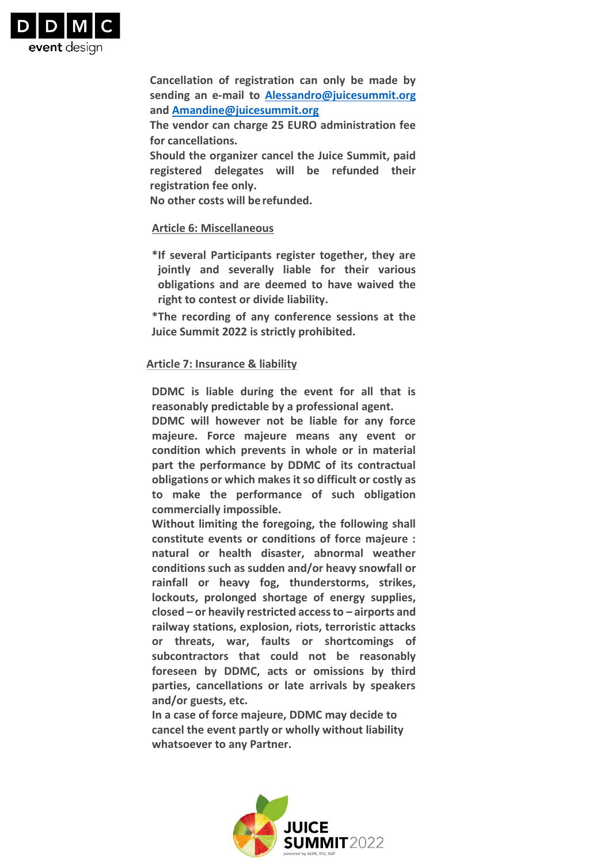

**Cancellation of registration can only be made by sending an e‐mail to [Alessandro@juicesummit.org](mailto:Alessandro@juicesummit.org) and [Amandine@juicesummit.org](mailto:Amandine@juicesummit.org)** 

**The vendor can charge 25 EURO administration fee for cancellations.**

**Should the organizer cancel the Juice Summit, paid registered delegates will be refunded their registration fee only.**

**No other costs will berefunded.**

### **Article 6: Miscellaneous**

**\*If several Participants register together, they are jointly and severally liable for their various obligations and are deemed to have waived the right to contest or divide liability.**

**\*The recording of any conference sessions at the Juice Summit 2022 is strictly prohibited.**

### **Article 7: Insurance & liability**

**DDMC is liable during the event for all that is reasonably predictable by a professional agent.**

**DDMC will however not be liable for any force majeure. Force majeure means any event or condition which prevents in whole or in material part the performance by DDMC of its contractual obligations or which makes it so difficult or costly as to make the performance of such obligation commercially impossible.**

**Without limiting the foregoing, the following shall constitute events or conditions of force majeure : natural or health disaster, abnormal weather conditions such as sudden and/or heavy snowfall or rainfall or heavy fog, thunderstorms, strikes, lockouts, prolonged shortage of energy supplies, closed – or heavily restricted access to – airports and railway stations, explosion, riots, terroristic attacks or threats, war, faults or shortcomings of subcontractors that could not be reasonably foreseen by DDMC, acts or omissions by third parties, cancellations or late arrivals by speakers and/or guests, etc.**

**In a case of force majeure, DDMC may decide to cancel the event partly or wholly without liability whatsoever to any Partner.**